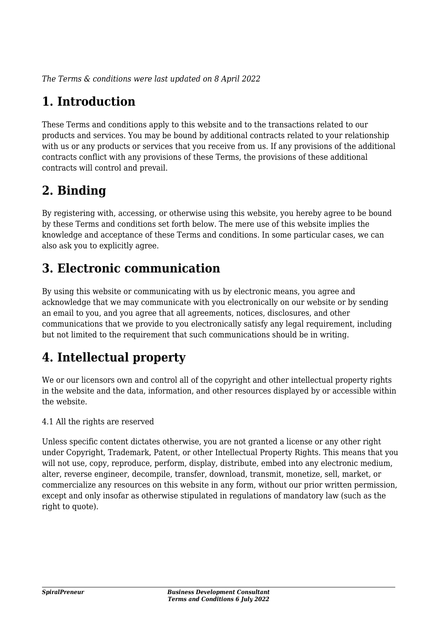*The Terms & conditions were last updated on 8 April 2022*

# **1. Introduction**

These Terms and conditions apply to this website and to the transactions related to our products and services. You may be bound by additional contracts related to your relationship with us or any products or services that you receive from us. If any provisions of the additional contracts conflict with any provisions of these Terms, the provisions of these additional contracts will control and prevail.

# **2. Binding**

By registering with, accessing, or otherwise using this website, you hereby agree to be bound by these Terms and conditions set forth below. The mere use of this website implies the knowledge and acceptance of these Terms and conditions. In some particular cases, we can also ask you to explicitly agree.

# **3. Electronic communication**

By using this website or communicating with us by electronic means, you agree and acknowledge that we may communicate with you electronically on our website or by sending an email to you, and you agree that all agreements, notices, disclosures, and other communications that we provide to you electronically satisfy any legal requirement, including but not limited to the requirement that such communications should be in writing.

# **4. Intellectual property**

We or our licensors own and control all of the copyright and other intellectual property rights in the website and the data, information, and other resources displayed by or accessible within the website.

4.1 All the rights are reserved

Unless specific content dictates otherwise, you are not granted a license or any other right under Copyright, Trademark, Patent, or other Intellectual Property Rights. This means that you will not use, copy, reproduce, perform, display, distribute, embed into any electronic medium, alter, reverse engineer, decompile, transfer, download, transmit, monetize, sell, market, or commercialize any resources on this website in any form, without our prior written permission, except and only insofar as otherwise stipulated in regulations of mandatory law (such as the right to quote).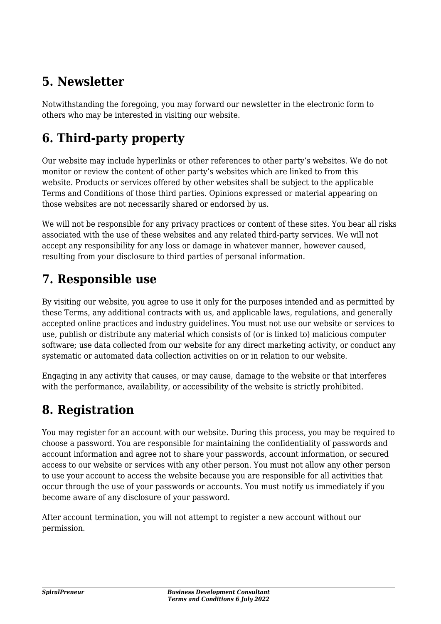# **5. Newsletter**

Notwithstanding the foregoing, you may forward our newsletter in the electronic form to others who may be interested in visiting our website.

# **6. Third-party property**

Our website may include hyperlinks or other references to other party's websites. We do not monitor or review the content of other party's websites which are linked to from this website. Products or services offered by other websites shall be subject to the applicable Terms and Conditions of those third parties. Opinions expressed or material appearing on those websites are not necessarily shared or endorsed by us.

We will not be responsible for any privacy practices or content of these sites. You bear all risks associated with the use of these websites and any related third-party services. We will not accept any responsibility for any loss or damage in whatever manner, however caused, resulting from your disclosure to third parties of personal information.

#### **7. Responsible use**

By visiting our website, you agree to use it only for the purposes intended and as permitted by these Terms, any additional contracts with us, and applicable laws, regulations, and generally accepted online practices and industry guidelines. You must not use our website or services to use, publish or distribute any material which consists of (or is linked to) malicious computer software; use data collected from our website for any direct marketing activity, or conduct any systematic or automated data collection activities on or in relation to our website.

Engaging in any activity that causes, or may cause, damage to the website or that interferes with the performance, availability, or accessibility of the website is strictly prohibited.

### **8. Registration**

You may register for an account with our website. During this process, you may be required to choose a password. You are responsible for maintaining the confidentiality of passwords and account information and agree not to share your passwords, account information, or secured access to our website or services with any other person. You must not allow any other person to use your account to access the website because you are responsible for all activities that occur through the use of your passwords or accounts. You must notify us immediately if you become aware of any disclosure of your password.

After account termination, you will not attempt to register a new account without our permission.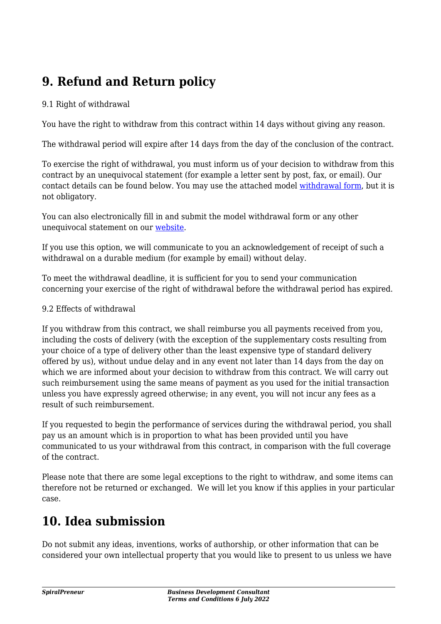# **9. Refund and Return policy**

#### 9.1 Right of withdrawal

You have the right to withdraw from this contract within 14 days without giving any reason.

The withdrawal period will expire after 14 days from the day of the conclusion of the contract.

To exercise the right of withdrawal, you must inform us of your decision to withdraw from this contract by an unequivocal statement (for example a letter sent by post, fax, or email). Our contact details can be found below. You may use the attached model [withdrawal form](https://spiralpreneur.com/wp-content/uploads/complianz/withdrawal-forms/withdrawal-form-en.pdf), but it is not obligatory.

You can also electronically fill in and submit the model withdrawal form or any other unequivocal statement on our [website](https://spiralpreneur.com/contact/).

If you use this option, we will communicate to you an acknowledgement of receipt of such a withdrawal on a durable medium (for example by email) without delay.

To meet the withdrawal deadline, it is sufficient for you to send your communication concerning your exercise of the right of withdrawal before the withdrawal period has expired.

#### 9.2 Effects of withdrawal

If you withdraw from this contract, we shall reimburse you all payments received from you, including the costs of delivery (with the exception of the supplementary costs resulting from your choice of a type of delivery other than the least expensive type of standard delivery offered by us), without undue delay and in any event not later than 14 days from the day on which we are informed about your decision to withdraw from this contract. We will carry out such reimbursement using the same means of payment as you used for the initial transaction unless you have expressly agreed otherwise; in any event, you will not incur any fees as a result of such reimbursement.

If you requested to begin the performance of services during the withdrawal period, you shall pay us an amount which is in proportion to what has been provided until you have communicated to us your withdrawal from this contract, in comparison with the full coverage of the contract.

Please note that there are some legal exceptions to the right to withdraw, and some items can therefore not be returned or exchanged. We will let you know if this applies in your particular case.

### **10. Idea submission**

Do not submit any ideas, inventions, works of authorship, or other information that can be considered your own intellectual property that you would like to present to us unless we have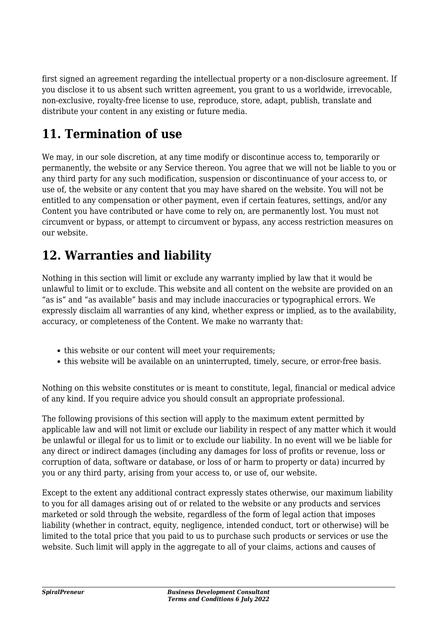first signed an agreement regarding the intellectual property or a non-disclosure agreement. If you disclose it to us absent such written agreement, you grant to us a worldwide, irrevocable, non-exclusive, royalty-free license to use, reproduce, store, adapt, publish, translate and distribute your content in any existing or future media.

# **11. Termination of use**

We may, in our sole discretion, at any time modify or discontinue access to, temporarily or permanently, the website or any Service thereon. You agree that we will not be liable to you or any third party for any such modification, suspension or discontinuance of your access to, or use of, the website or any content that you may have shared on the website. You will not be entitled to any compensation or other payment, even if certain features, settings, and/or any Content you have contributed or have come to rely on, are permanently lost. You must not circumvent or bypass, or attempt to circumvent or bypass, any access restriction measures on our website.

# **12. Warranties and liability**

Nothing in this section will limit or exclude any warranty implied by law that it would be unlawful to limit or to exclude. This website and all content on the website are provided on an "as is" and "as available" basis and may include inaccuracies or typographical errors. We expressly disclaim all warranties of any kind, whether express or implied, as to the availability, accuracy, or completeness of the Content. We make no warranty that:

- this website or our content will meet your requirements;
- this website will be available on an uninterrupted, timely, secure, or error-free basis.

Nothing on this website constitutes or is meant to constitute, legal, financial or medical advice of any kind. If you require advice you should consult an appropriate professional.

The following provisions of this section will apply to the maximum extent permitted by applicable law and will not limit or exclude our liability in respect of any matter which it would be unlawful or illegal for us to limit or to exclude our liability. In no event will we be liable for any direct or indirect damages (including any damages for loss of profits or revenue, loss or corruption of data, software or database, or loss of or harm to property or data) incurred by you or any third party, arising from your access to, or use of, our website.

Except to the extent any additional contract expressly states otherwise, our maximum liability to you for all damages arising out of or related to the website or any products and services marketed or sold through the website, regardless of the form of legal action that imposes liability (whether in contract, equity, negligence, intended conduct, tort or otherwise) will be limited to the total price that you paid to us to purchase such products or services or use the website. Such limit will apply in the aggregate to all of your claims, actions and causes of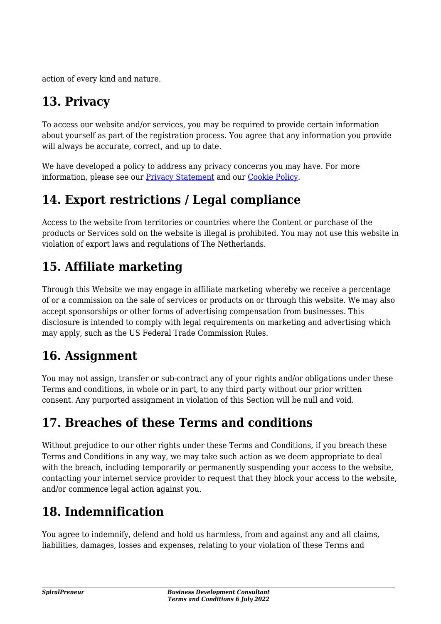action of every kind and nature.

# **13. Privacy**

To access our website and/or services, you may be required to provide certain information about yourself as part of the registration process. You agree that any information you provide will always be accurate, correct, and up to date.

We have developed a policy to address any privacy concerns you may have. For more information, please see our [Privacy Statement](https://spiralpreneur.com/privacy-policy/) and our [Cookie Policy](https://spiralpreneur.com/cookie-policy-eu/).

### **14. Export restrictions / Legal compliance**

Access to the website from territories or countries where the Content or purchase of the products or Services sold on the website is illegal is prohibited. You may not use this website in violation of export laws and regulations of The Netherlands.

## **15. Affiliate marketing**

Through this Website we may engage in affiliate marketing whereby we receive a percentage of or a commission on the sale of services or products on or through this website. We may also accept sponsorships or other forms of advertising compensation from businesses. This disclosure is intended to comply with legal requirements on marketing and advertising which may apply, such as the US Federal Trade Commission Rules.

#### **16. Assignment**

You may not assign, transfer or sub-contract any of your rights and/or obligations under these Terms and conditions, in whole or in part, to any third party without our prior written consent. Any purported assignment in violation of this Section will be null and void.

# **17. Breaches of these Terms and conditions**

Without prejudice to our other rights under these Terms and Conditions, if you breach these Terms and Conditions in any way, we may take such action as we deem appropriate to deal with the breach, including temporarily or permanently suspending your access to the website, contacting your internet service provider to request that they block your access to the website, and/or commence legal action against you.

# **18. Indemnification**

You agree to indemnify, defend and hold us harmless, from and against any and all claims, liabilities, damages, losses and expenses, relating to your violation of these Terms and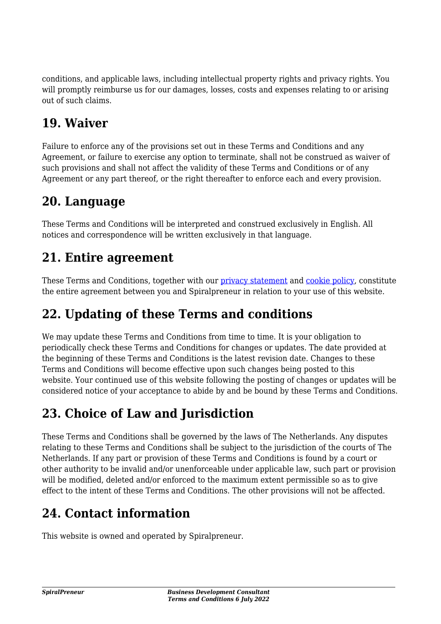conditions, and applicable laws, including intellectual property rights and privacy rights. You will promptly reimburse us for our damages, losses, costs and expenses relating to or arising out of such claims.

## **19. Waiver**

Failure to enforce any of the provisions set out in these Terms and Conditions and any Agreement, or failure to exercise any option to terminate, shall not be construed as waiver of such provisions and shall not affect the validity of these Terms and Conditions or of any Agreement or any part thereof, or the right thereafter to enforce each and every provision.

#### **20. Language**

These Terms and Conditions will be interpreted and construed exclusively in English. All notices and correspondence will be written exclusively in that language.

# **21. Entire agreement**

These Terms and Conditions, together with our [privacy statement](https://spiralpreneur.com/privacy-policy/) and [cookie policy,](https://spiralpreneur.com/cookie-policy-eu/) constitute the entire agreement between you and Spiralpreneur in relation to your use of this website.

# **22. Updating of these Terms and conditions**

We may update these Terms and Conditions from time to time. It is your obligation to periodically check these Terms and Conditions for changes or updates. The date provided at the beginning of these Terms and Conditions is the latest revision date. Changes to these Terms and Conditions will become effective upon such changes being posted to this website. Your continued use of this website following the posting of changes or updates will be considered notice of your acceptance to abide by and be bound by these Terms and Conditions.

# **23. Choice of Law and Jurisdiction**

These Terms and Conditions shall be governed by the laws of The Netherlands. Any disputes relating to these Terms and Conditions shall be subject to the jurisdiction of the courts of The Netherlands. If any part or provision of these Terms and Conditions is found by a court or other authority to be invalid and/or unenforceable under applicable law, such part or provision will be modified, deleted and/or enforced to the maximum extent permissible so as to give effect to the intent of these Terms and Conditions. The other provisions will not be affected.

# **24. Contact information**

This website is owned and operated by Spiralpreneur.